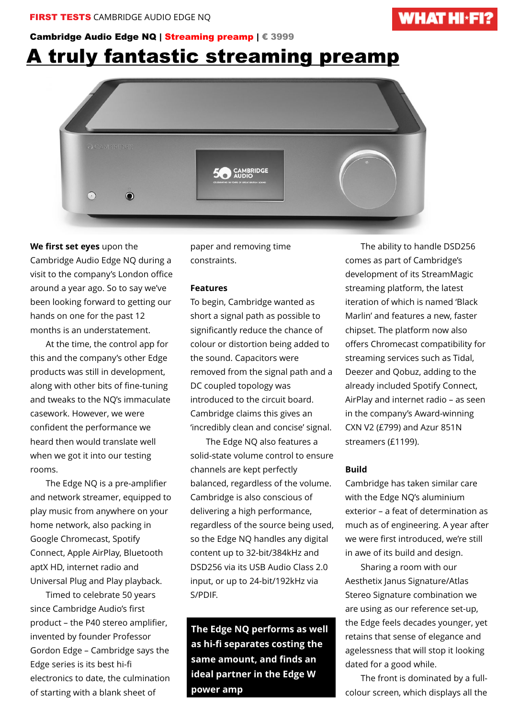## **WHAT HI\*FI?**

### Cambridge Audio Edge NQ | Streaming preamp | € 3999

# A truly fantastic streaming preamp



#### **We first set eyes** upon the

Cambridge Audio Edge NQ during a visit to the company's London office around a year ago. So to say we've been looking forward to getting our hands on one for the past 12 months is an understatement.

 At the time, the control app for this and the company's other Edge products was still in development, along with other bits of fine-tuning and tweaks to the NQ's immaculate casework. However, we were confident the performance we heard then would translate well when we got it into our testing rooms.

 The Edge NQ is a pre-amplifier and network streamer, equipped to play music from anywhere on your home network, also packing in Google Chromecast, Spotify Connect, Apple AirPlay, Bluetooth aptX HD, internet radio and Universal Plug and Play playback.

 Timed to celebrate 50 years since Cambridge Audio's first product – the P40 stereo amplifier, invented by founder Professor Gordon Edge – Cambridge says the Edge series is its best hi-fi electronics to date, the culmination of starting with a blank sheet of

paper and removing time constraints.

#### **Features**

To begin, Cambridge wanted as short a signal path as possible to significantly reduce the chance of colour or distortion being added to the sound. Capacitors were removed from the signal path and a DC coupled topology was introduced to the circuit board. Cambridge claims this gives an 'incredibly clean and concise' signal.

 The Edge NQ also features a solid-state volume control to ensure channels are kept perfectly balanced, regardless of the volume. Cambridge is also conscious of delivering a high performance, regardless of the source being used, so the Edge NQ handles any digital content up to 32-bit/384kHz and DSD256 via its USB Audio Class 2.0 input, or up to 24-bit/192kHz via S/PDIF.

**The Edge NQ performs as well as hi-fi separates costing the same amount, and finds an ideal partner in the Edge W power amp**

 The ability to handle DSD256 comes as part of Cambridge's development of its StreamMagic streaming platform, the latest iteration of which is named 'Black Marlin' and features a new, faster chipset. The platform now also offers Chromecast compatibility for streaming services such as Tidal, Deezer and Qobuz, adding to the already included Spotify Connect, AirPlay and internet radio – as seen in the company's Award-winning CXN V2 (£799) and Azur 851N streamers (£1199).

#### **Build**

Cambridge has taken similar care with the Edge NQ's aluminium exterior – a feat of determination as much as of engineering. A year after we were first introduced, we're still in awe of its build and design.

 Sharing a room with our Aesthetix Janus Signature/Atlas Stereo Signature combination we are using as our reference set-up, the Edge feels decades younger, yet retains that sense of elegance and agelessness that will stop it looking dated for a good while.

 The front is dominated by a fullcolour screen, which displays all the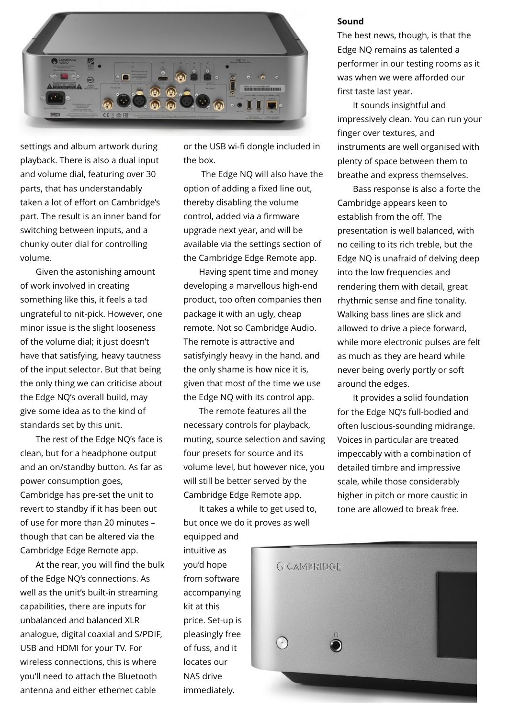

settings and album artwork during playback. There is also a dual input and volume dial, featuring over 30 parts, that has understandably taken a lot of effort on Cambridge's part. The result is an inner band for switching between inputs, and a chunky outer dial for controlling volume.

 Given the astonishing amount of work involved in creating something like this, it feels a tad ungrateful to nit-pick. However, one minor issue is the slight looseness of the volume dial; it just doesn't have that satisfying, heavy tautness of the input selector. But that being the only thing we can criticise about the Edge NQ's overall build, may give some idea as to the kind of standards set by this unit.

 The rest of the Edge NQ's face is clean, but for a headphone output and an on/standby button. As far as power consumption goes, Cambridge has pre-set the unit to revert to standby if it has been out of use for more than 20 minutes – though that can be altered via the Cambridge Edge Remote app.

 At the rear, you will find the bulk of the Edge NQ's connections. As well as the unit's built-in streaming capabilities, there are inputs for unbalanced and balanced XLR analogue, digital coaxial and S/PDIF, USB and HDMI for your TV. For wireless connections, this is where you'll need to attach the Bluetooth antenna and either ethernet cable

or the USB wi-fi dongle included in the box.

 The Edge NQ will also have the option of adding a fixed line out, thereby disabling the volume control, added via a firmware upgrade next year, and will be available via the settings section of the Cambridge Edge Remote app.

 Having spent time and money developing a marvellous high-end product, too often companies then package it with an ugly, cheap remote. Not so Cambridge Audio. The remote is attractive and satisfyingly heavy in the hand, and the only shame is how nice it is, given that most of the time we use the Edge NQ with its control app.

 The remote features all the necessary controls for playback, muting, source selection and saving four presets for source and its volume level, but however nice, you will still be better served by the Cambridge Edge Remote app.

 It takes a while to get used to, but once we do it proves as well equipped and

intuitive as you'd hope from software accompanying kit at this price. Set-up is pleasingly free of fuss, and it locates our NAS drive immediately.

#### **Sound**

The best news, though, is that the Edge NQ remains as talented a performer in our testing rooms as it was when we were afforded our first taste last year.

 It sounds insightful and impressively clean. You can run your finger over textures, and instruments are well organised with plenty of space between them to breathe and express themselves.

 Bass response is also a forte the Cambridge appears keen to establish from the off. The presentation is well balanced, with no ceiling to its rich treble, but the Edge NQ is unafraid of delving deep into the low frequencies and rendering them with detail, great rhythmic sense and fine tonality. Walking bass lines are slick and allowed to drive a piece forward, while more electronic pulses are felt as much as they are heard while never being overly portly or soft around the edges.

 It provides a solid foundation for the Edge NQ's full-bodied and often luscious-sounding midrange. Voices in particular are treated impeccably with a combination of detailed timbre and impressive scale, while those considerably higher in pitch or more caustic in tone are allowed to break free.